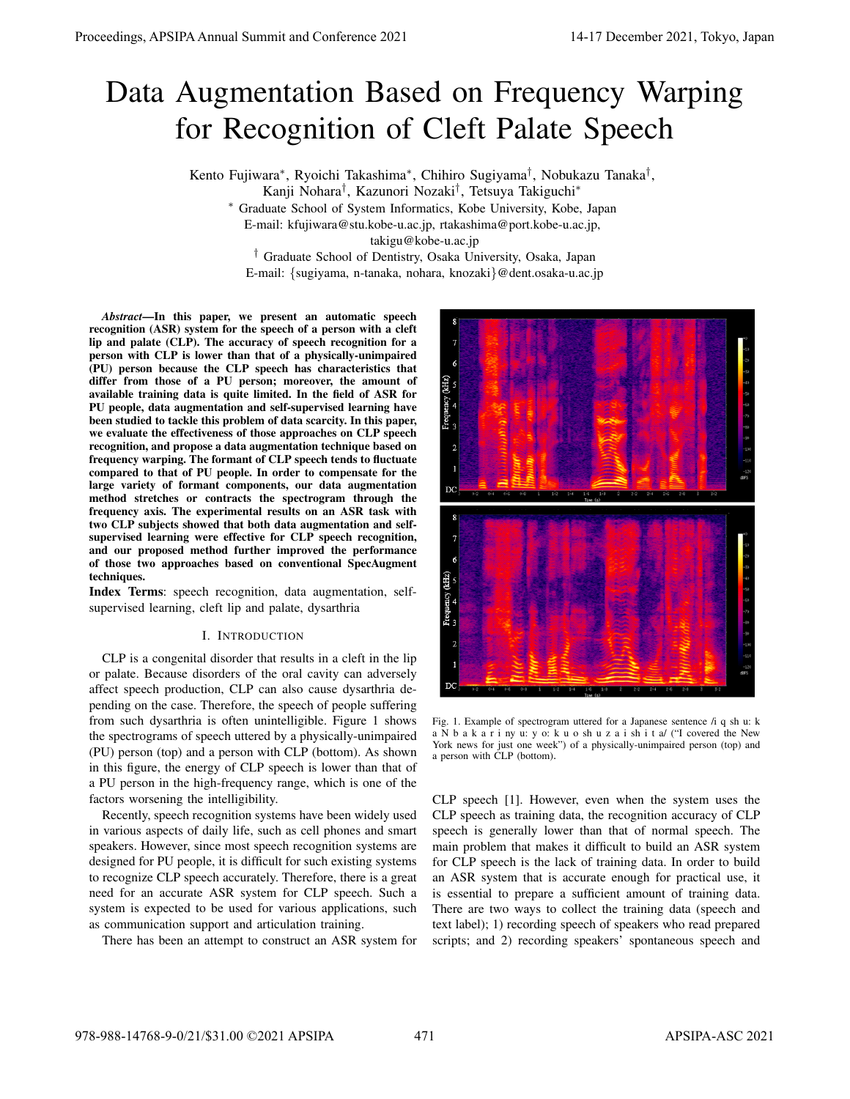# Data Augmentation Based on Frequency Warping for Recognition of Cleft Palate Speech

Kento Fujiwara*∗* , Ryoichi Takashima*∗* , Chihiro Sugiyama*†* , Nobukazu Tanaka*†* ,

Kanji Nohara*†* , Kazunori Nozaki*†* , Tetsuya Takiguchi*∗*

*∗* Graduate School of System Informatics, Kobe University, Kobe, Japan

E-mail: kfujiwara@stu.kobe-u.ac.jp, rtakashima@port.kobe-u.ac.jp,

takigu@kobe-u.ac.jp

*†* Graduate School of Dentistry, Osaka University, Osaka, Japan E-mail: *{*sugiyama, n-tanaka, nohara, knozaki*}*@dent.osaka-u.ac.jp

*Abstract*—In this paper, we present an automatic speech recognition (ASR) system for the speech of a person with a cleft lip and palate (CLP). The accuracy of speech recognition for a person with CLP is lower than that of a physically-unimpaired (PU) person because the CLP speech has characteristics that differ from those of a PU person; moreover, the amount of available training data is quite limited. In the field of ASR for PU people, data augmentation and self-supervised learning have been studied to tackle this problem of data scarcity. In this paper, we evaluate the effectiveness of those approaches on CLP speech recognition, and propose a data augmentation technique based on frequency warping. The formant of CLP speech tends to fluctuate compared to that of PU people. In order to compensate for the large variety of formant components, our data augmentation method stretches or contracts the spectrogram through the frequency axis. The experimental results on an ASR task with two CLP subjects showed that both data augmentation and selfsupervised learning were effective for CLP speech recognition, and our proposed method further improved the performance of those two approaches based on conventional SpecAugment techniques.

Index Terms: speech recognition, data augmentation, selfsupervised learning, cleft lip and palate, dysarthria

# I. INTRODUCTION

CLP is a congenital disorder that results in a cleft in the lip or palate. Because disorders of the oral cavity can adversely affect speech production, CLP can also cause dysarthria depending on the case. Therefore, the speech of people suffering from such dysarthria is often unintelligible. Figure 1 shows the spectrograms of speech uttered by a physically-unimpaired (PU) person (top) and a person with CLP (bottom). As shown in this figure, the energy of CLP speech is lower than that of a PU person in the high-frequency range, which is one of the factors worsening the intelligibility.

Recently, speech recognition systems have been widely used in various aspects of daily life, such as cell phones and smart speakers. However, since most speech recognition systems are designed for PU people, it is difficult for such existing systems to recognize CLP speech accurately. Therefore, there is a great need for an accurate ASR system for CLP speech. Such a system is expected to be used for various applications, such as communication support and articulation training.

There has been an attempt to construct an ASR system for



Fig. 1. Example of spectrogram uttered for a Japanese sentence /i q sh u: k a N b a k a r i ny u: y o: k u o sh u z a i sh i t a/ ("I covered the New York news for just one week") of a physically-unimpaired person (top) and a person with CLP (bottom).

CLP speech [1]. However, even when the system uses the CLP speech as training data, the recognition accuracy of CLP speech is generally lower than that of normal speech. The main problem that makes it difficult to build an ASR system for CLP speech is the lack of training data. In order to build an ASR system that is accurate enough for practical use, it is essential to prepare a sufficient amount of training data. There are two ways to collect the training data (speech and text label); 1) recording speech of speakers who read prepared scripts; and 2) recording speakers' spontaneous speech and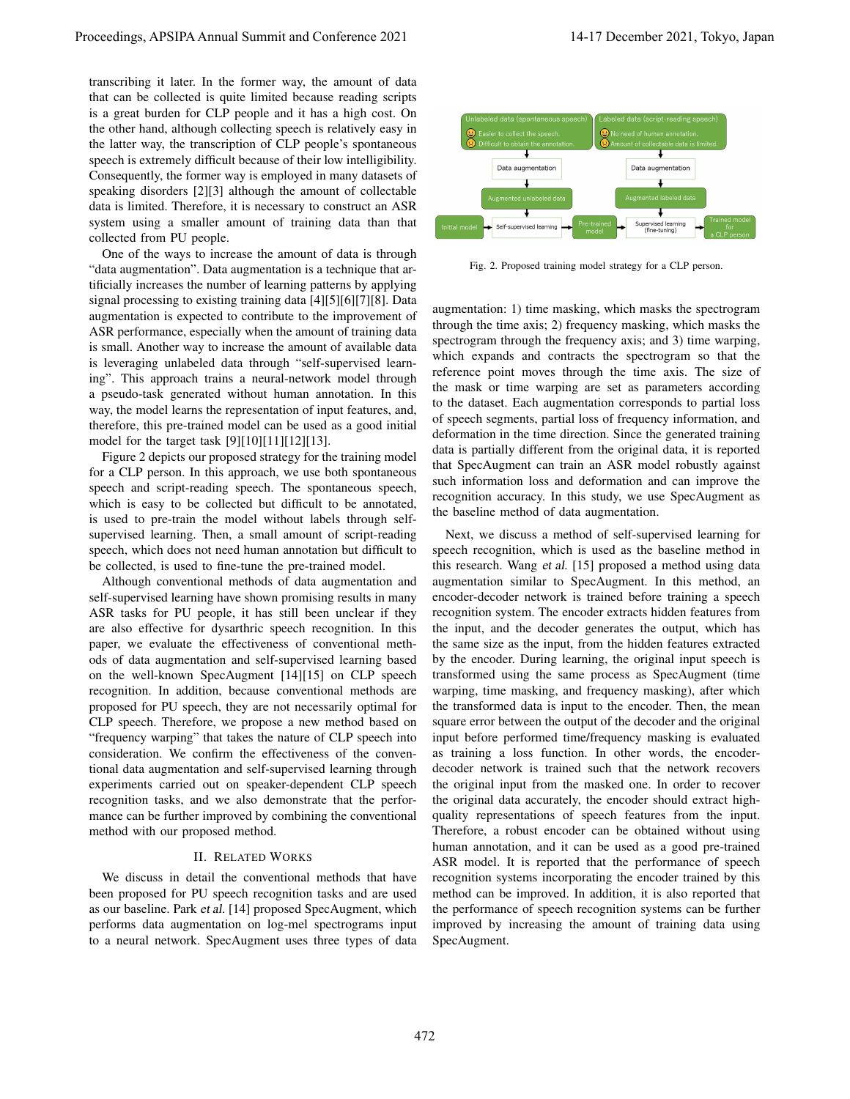transcribing it later. In the former way, the amount of data that can be collected is quite limited because reading scripts is a great burden for CLP people and it has a high cost. On the other hand, although collecting speech is relatively easy in the latter way, the transcription of CLP people's spontaneous speech is extremely difficult because of their low intelligibility. Consequently, the former way is employed in many datasets of speaking disorders [2][3] although the amount of collectable data is limited. Therefore, it is necessary to construct an ASR system using a smaller amount of training data than that collected from PU people.

One of the ways to increase the amount of data is through "data augmentation". Data augmentation is a technique that artificially increases the number of learning patterns by applying signal processing to existing training data [4][5][6][7][8]. Data augmentation is expected to contribute to the improvement of ASR performance, especially when the amount of training data is small. Another way to increase the amount of available data is leveraging unlabeled data through "self-supervised learning". This approach trains a neural-network model through a pseudo-task generated without human annotation. In this way, the model learns the representation of input features, and, therefore, this pre-trained model can be used as a good initial model for the target task [9][10][11][12][13].

Figure 2 depicts our proposed strategy for the training model for a CLP person. In this approach, we use both spontaneous speech and script-reading speech. The spontaneous speech, which is easy to be collected but difficult to be annotated, is used to pre-train the model without labels through selfsupervised learning. Then, a small amount of script-reading speech, which does not need human annotation but difficult to be collected, is used to fine-tune the pre-trained model.

Although conventional methods of data augmentation and self-supervised learning have shown promising results in many ASR tasks for PU people, it has still been unclear if they are also effective for dysarthric speech recognition. In this paper, we evaluate the effectiveness of conventional methods of data augmentation and self-supervised learning based on the well-known SpecAugment [14][15] on CLP speech recognition. In addition, because conventional methods are proposed for PU speech, they are not necessarily optimal for CLP speech. Therefore, we propose a new method based on "frequency warping" that takes the nature of CLP speech into consideration. We confirm the effectiveness of the conventional data augmentation and self-supervised learning through experiments carried out on speaker-dependent CLP speech recognition tasks, and we also demonstrate that the performance can be further improved by combining the conventional method with our proposed method.

# II. RELATED WORKS

We discuss in detail the conventional methods that have been proposed for PU speech recognition tasks and are used as our baseline. Park et al. [14] proposed SpecAugment, which performs data augmentation on log-mel spectrograms input to a neural network. SpecAugment uses three types of data



Fig. 2. Proposed training model strategy for a CLP person.

augmentation: 1) time masking, which masks the spectrogram through the time axis; 2) frequency masking, which masks the spectrogram through the frequency axis; and 3) time warping, which expands and contracts the spectrogram so that the reference point moves through the time axis. The size of the mask or time warping are set as parameters according to the dataset. Each augmentation corresponds to partial loss of speech segments, partial loss of frequency information, and deformation in the time direction. Since the generated training data is partially different from the original data, it is reported that SpecAugment can train an ASR model robustly against such information loss and deformation and can improve the recognition accuracy. In this study, we use SpecAugment as the baseline method of data augmentation.

Next, we discuss a method of self-supervised learning for speech recognition, which is used as the baseline method in this research. Wang et al. [15] proposed a method using data augmentation similar to SpecAugment. In this method, an encoder-decoder network is trained before training a speech recognition system. The encoder extracts hidden features from the input, and the decoder generates the output, which has the same size as the input, from the hidden features extracted by the encoder. During learning, the original input speech is transformed using the same process as SpecAugment (time warping, time masking, and frequency masking), after which the transformed data is input to the encoder. Then, the mean square error between the output of the decoder and the original input before performed time/frequency masking is evaluated as training a loss function. In other words, the encoderdecoder network is trained such that the network recovers the original input from the masked one. In order to recover the original data accurately, the encoder should extract highquality representations of speech features from the input. Therefore, a robust encoder can be obtained without using human annotation, and it can be used as a good pre-trained ASR model. It is reported that the performance of speech recognition systems incorporating the encoder trained by this method can be improved. In addition, it is also reported that the performance of speech recognition systems can be further improved by increasing the amount of training data using SpecAugment.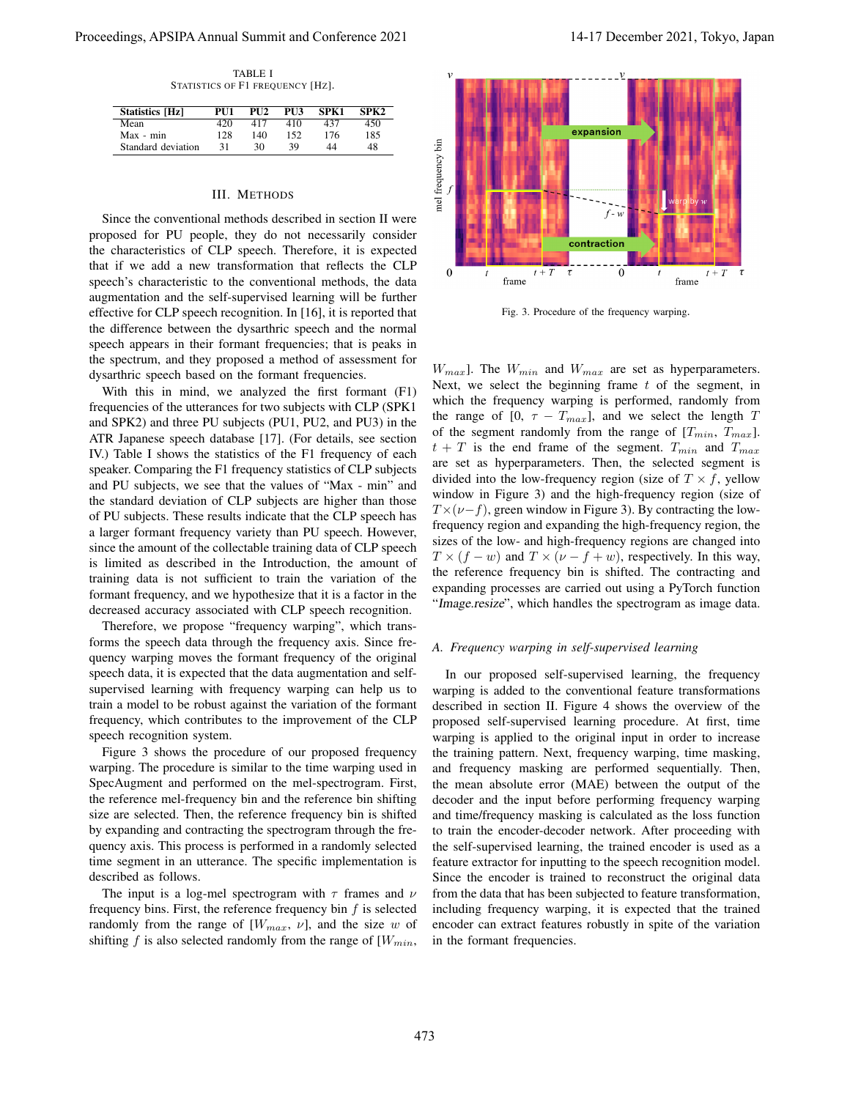TABLE I STATISTICS OF F1 FREQUENCY [HZ].

| <b>Statistics [Hz]</b> | PU1 | PII2 | PU3 | SPK1 | SPK2 |
|------------------------|-----|------|-----|------|------|
| Mean                   | 420 | 417  | 410 | 437  | 450  |
| Max - min              | 128 | 140  | 152 | 176  | 185  |
| Standard deviation     | 31  | 30   | 39  | 44   | 48   |

#### III. METHODS

Since the conventional methods described in section II were proposed for PU people, they do not necessarily consider the characteristics of CLP speech. Therefore, it is expected that if we add a new transformation that reflects the CLP speech's characteristic to the conventional methods, the data augmentation and the self-supervised learning will be further effective for CLP speech recognition. In [16], it is reported that the difference between the dysarthric speech and the normal speech appears in their formant frequencies; that is peaks in the spectrum, and they proposed a method of assessment for dysarthric speech based on the formant frequencies.

With this in mind, we analyzed the first formant (F1) frequencies of the utterances for two subjects with CLP (SPK1 and SPK2) and three PU subjects (PU1, PU2, and PU3) in the ATR Japanese speech database [17]. (For details, see section IV.) Table I shows the statistics of the F1 frequency of each speaker. Comparing the F1 frequency statistics of CLP subjects and PU subjects, we see that the values of "Max - min" and the standard deviation of CLP subjects are higher than those of PU subjects. These results indicate that the CLP speech has a larger formant frequency variety than PU speech. However, since the amount of the collectable training data of CLP speech is limited as described in the Introduction, the amount of training data is not sufficient to train the variation of the formant frequency, and we hypothesize that it is a factor in the decreased accuracy associated with CLP speech recognition.

Therefore, we propose "frequency warping", which transforms the speech data through the frequency axis. Since frequency warping moves the formant frequency of the original speech data, it is expected that the data augmentation and selfsupervised learning with frequency warping can help us to train a model to be robust against the variation of the formant frequency, which contributes to the improvement of the CLP speech recognition system.

Figure 3 shows the procedure of our proposed frequency warping. The procedure is similar to the time warping used in SpecAugment and performed on the mel-spectrogram. First, the reference mel-frequency bin and the reference bin shifting size are selected. Then, the reference frequency bin is shifted by expanding and contracting the spectrogram through the frequency axis. This process is performed in a randomly selected time segment in an utterance. The specific implementation is described as follows.

The input is a log-mel spectrogram with *τ* frames and *ν* frequency bins. First, the reference frequency bin *f* is selected randomly from the range of [*Wmax*, *ν*], and the size *w* of shifting  $f$  is also selected randomly from the range of  $[W_{min},$ 



Fig. 3. Procedure of the frequency warping.

*Wmax*]. The *Wmin* and *Wmax* are set as hyperparameters. Next, we select the beginning frame *t* of the segment, in which the frequency warping is performed, randomly from the range of [0,  $\tau - T_{max}$ ], and we select the length *T* of the segment randomly from the range of [*Tmin*, *Tmax*].  $t + T$  is the end frame of the segment.  $T_{min}$  and  $T_{max}$ are set as hyperparameters. Then, the selected segment is divided into the low-frequency region (size of  $T \times f$ , yellow window in Figure 3) and the high-frequency region (size of  $T$ *×*( $\nu$ *−f*), green window in Figure 3). By contracting the lowfrequency region and expanding the high-frequency region, the sizes of the low- and high-frequency regions are changed into  $T \times (f - w)$  and  $T \times (\nu - f + w)$ , respectively. In this way, the reference frequency bin is shifted. The contracting and expanding processes are carried out using a PyTorch function "Image.resize", which handles the spectrogram as image data.

#### *A. Frequency warping in self-supervised learning*

In our proposed self-supervised learning, the frequency warping is added to the conventional feature transformations described in section II. Figure 4 shows the overview of the proposed self-supervised learning procedure. At first, time warping is applied to the original input in order to increase the training pattern. Next, frequency warping, time masking, and frequency masking are performed sequentially. Then, the mean absolute error (MAE) between the output of the decoder and the input before performing frequency warping and time/frequency masking is calculated as the loss function to train the encoder-decoder network. After proceeding with the self-supervised learning, the trained encoder is used as a feature extractor for inputting to the speech recognition model. Since the encoder is trained to reconstruct the original data from the data that has been subjected to feature transformation, including frequency warping, it is expected that the trained encoder can extract features robustly in spite of the variation in the formant frequencies.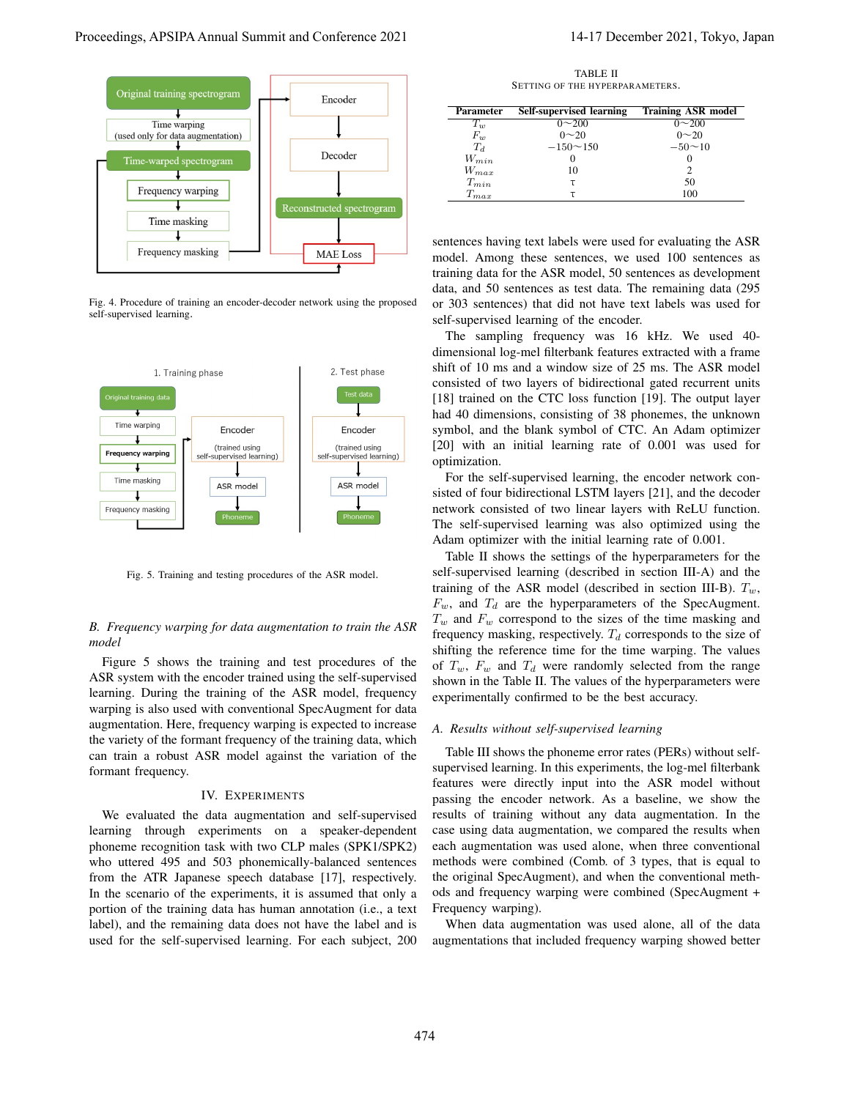

Fig. 4. Procedure of training an encoder-decoder network using the proposed self-supervised learning.



Fig. 5. Training and testing procedures of the ASR model.

# *B. Frequency warping for data augmentation to train the ASR model*

Figure 5 shows the training and test procedures of the ASR system with the encoder trained using the self-supervised learning. During the training of the ASR model, frequency warping is also used with conventional SpecAugment for data augmentation. Here, frequency warping is expected to increase the variety of the formant frequency of the training data, which can train a robust ASR model against the variation of the formant frequency.

# IV. EXPERIMENTS

We evaluated the data augmentation and self-supervised learning through experiments on a speaker-dependent phoneme recognition task with two CLP males (SPK1/SPK2) who uttered 495 and 503 phonemically-balanced sentences from the ATR Japanese speech database [17], respectively. In the scenario of the experiments, it is assumed that only a portion of the training data has human annotation (i.e., a text label), and the remaining data does not have the label and is used for the self-supervised learning. For each subject, 200

TABLE II SETTING OF THE HYPERPARAMETERS.

| <b>Parameter</b> | Self-supervised learning | <b>Training ASR model</b> |
|------------------|--------------------------|---------------------------|
| $T_w$            | $0 - 200$                | $0 - 200$                 |
| $F_w$            | $0 - 20$                 | $0 - 20$                  |
| $T_d$            | $-150^{\sim}150$         | $-50 \sim 10$             |
| $W_{min}$        |                          |                           |
| $W_{max}$        | 10                       |                           |
| $T_{min}$        |                          | 50                        |
| $T_{max}$        |                          | 100                       |

sentences having text labels were used for evaluating the ASR model. Among these sentences, we used 100 sentences as training data for the ASR model, 50 sentences as development data, and 50 sentences as test data. The remaining data (295 or 303 sentences) that did not have text labels was used for self-supervised learning of the encoder.

The sampling frequency was 16 kHz. We used 40 dimensional log-mel filterbank features extracted with a frame shift of 10 ms and a window size of 25 ms. The ASR model consisted of two layers of bidirectional gated recurrent units [18] trained on the CTC loss function [19]. The output layer had 40 dimensions, consisting of 38 phonemes, the unknown symbol, and the blank symbol of CTC. An Adam optimizer [20] with an initial learning rate of 0.001 was used for optimization.

For the self-supervised learning, the encoder network consisted of four bidirectional LSTM layers [21], and the decoder network consisted of two linear layers with ReLU function. The self-supervised learning was also optimized using the Adam optimizer with the initial learning rate of 0.001.

Table II shows the settings of the hyperparameters for the self-supervised learning (described in section III-A) and the training of the ASR model (described in section III-B). *Tw*,  $F_w$ , and  $T_d$  are the hyperparameters of the SpecAugment. *T<sup>w</sup>* and *F<sup>w</sup>* correspond to the sizes of the time masking and frequency masking, respectively.  $T_d$  corresponds to the size of shifting the reference time for the time warping. The values of  $T_w$ ,  $F_w$  and  $T_d$  were randomly selected from the range shown in the Table II. The values of the hyperparameters were experimentally confirmed to be the best accuracy.

# *A. Results without self-supervised learning*

Table III shows the phoneme error rates (PERs) without selfsupervised learning. In this experiments, the log-mel filterbank features were directly input into the ASR model without passing the encoder network. As a baseline, we show the results of training without any data augmentation. In the case using data augmentation, we compared the results when each augmentation was used alone, when three conventional methods were combined (Comb. of 3 types, that is equal to the original SpecAugment), and when the conventional methods and frequency warping were combined (SpecAugment + Frequency warping).

When data augmentation was used alone, all of the data augmentations that included frequency warping showed better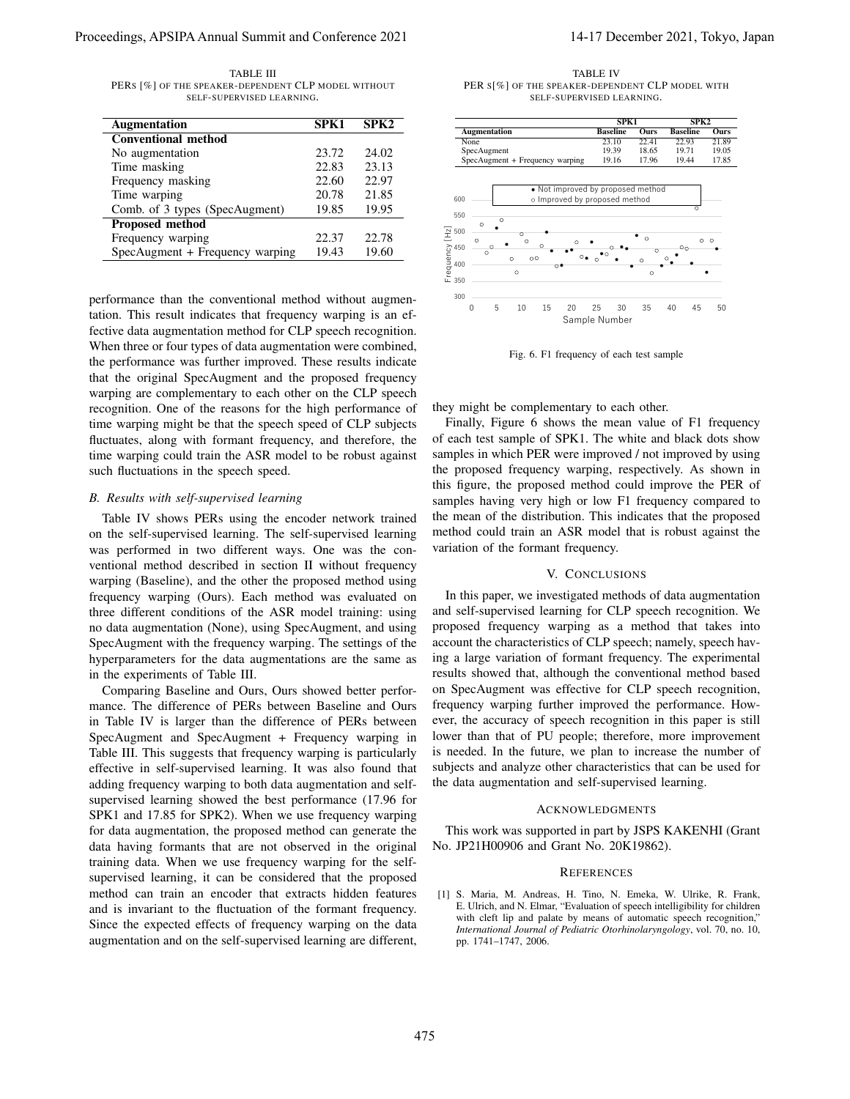# Proceedings, APSIPA Annual Summit and Conference 2021 14-17 December 2021, Tokyo, Japan

TABLE III PERS [%] OF THE SPEAKER-DEPENDENT CLP MODEL WITHOUT SELF-SUPERVISED LEARNING.

| <b>Augmentation</b>             | SPK1  | SPK <sub>2</sub> |
|---------------------------------|-------|------------------|
| <b>Conventional</b> method      |       |                  |
| No augmentation                 | 23.72 | 24.02            |
| Time masking                    | 22.83 | 23.13            |
| Frequency masking               | 22.60 | 22.97            |
| Time warping                    | 20.78 | 21.85            |
| Comb. of 3 types (SpecAugment)  | 19.85 | 19.95            |
| <b>Proposed method</b>          |       |                  |
| Frequency warping               | 22.37 | 22.78            |
| SpecAugment + Frequency warping | 19.43 | 19.60            |

performance than the conventional method without augmentation. This result indicates that frequency warping is an effective data augmentation method for CLP speech recognition. When three or four types of data augmentation were combined, the performance was further improved. These results indicate that the original SpecAugment and the proposed frequency warping are complementary to each other on the CLP speech recognition. One of the reasons for the high performance of time warping might be that the speech speed of CLP subjects fluctuates, along with formant frequency, and therefore, the time warping could train the ASR model to be robust against such fluctuations in the speech speed.

### *B. Results with self-supervised learning*

Table IV shows PERs using the encoder network trained on the self-supervised learning. The self-supervised learning was performed in two different ways. One was the conventional method described in section II without frequency warping (Baseline), and the other the proposed method using frequency warping (Ours). Each method was evaluated on three different conditions of the ASR model training: using no data augmentation (None), using SpecAugment, and using SpecAugment with the frequency warping. The settings of the hyperparameters for the data augmentations are the same as in the experiments of Table III.

Comparing Baseline and Ours, Ours showed better performance. The difference of PERs between Baseline and Ours in Table IV is larger than the difference of PERs between SpecAugment and SpecAugment + Frequency warping in Table III. This suggests that frequency warping is particularly effective in self-supervised learning. It was also found that adding frequency warping to both data augmentation and selfsupervised learning showed the best performance (17.96 for SPK1 and 17.85 for SPK2). When we use frequency warping for data augmentation, the proposed method can generate the data having formants that are not observed in the original training data. When we use frequency warping for the selfsupervised learning, it can be considered that the proposed method can train an encoder that extracts hidden features and is invariant to the fluctuation of the formant frequency. Since the expected effects of frequency warping on the data augmentation and on the self-supervised learning are different,

TABLE IV PER  $S[\%]$  OF THE SPEAKER-DEPENDENT CLP MODEL WITH SELF-SUPERVISED LEARNING.



Fig. 6. F1 frequency of each test sample

they might be complementary to each other.

Finally, Figure 6 shows the mean value of F1 frequency of each test sample of SPK1. The white and black dots show samples in which PER were improved / not improved by using the proposed frequency warping, respectively. As shown in this figure, the proposed method could improve the PER of samples having very high or low F1 frequency compared to the mean of the distribution. This indicates that the proposed method could train an ASR model that is robust against the variation of the formant frequency.

#### V. CONCLUSIONS

In this paper, we investigated methods of data augmentation and self-supervised learning for CLP speech recognition. We proposed frequency warping as a method that takes into account the characteristics of CLP speech; namely, speech having a large variation of formant frequency. The experimental results showed that, although the conventional method based on SpecAugment was effective for CLP speech recognition, frequency warping further improved the performance. However, the accuracy of speech recognition in this paper is still lower than that of PU people; therefore, more improvement is needed. In the future, we plan to increase the number of subjects and analyze other characteristics that can be used for the data augmentation and self-supervised learning.

#### ACKNOWLEDGMENTS

This work was supported in part by JSPS KAKENHI (Grant No. JP21H00906 and Grant No. 20K19862).

#### **REFERENCES**

[1] S. Maria, M. Andreas, H. Tino, N. Emeka, W. Ulrike, R. Frank, E. Ulrich, and N. Elmar, "Evaluation of speech intelligibility for children with cleft lip and palate by means of automatic speech recognition," *International Journal of Pediatric Otorhinolaryngology*, vol. 70, no. 10, pp. 1741–1747, 2006.